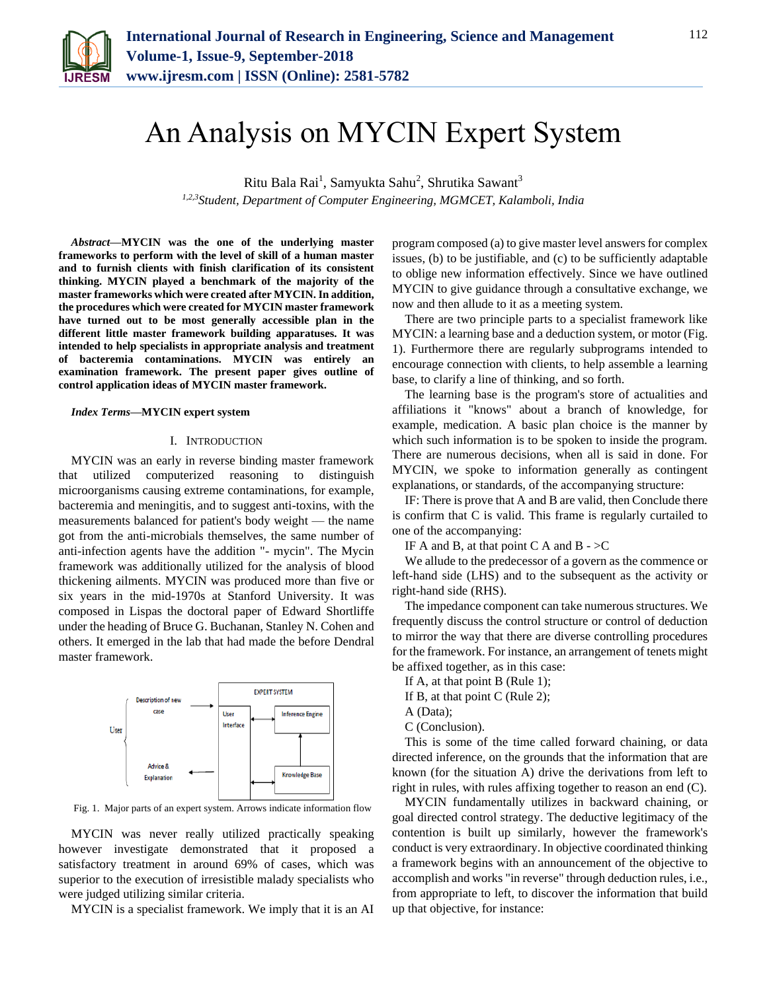

# An Analysis on MYCIN Expert System

Ritu Bala Rai $^1$ , Samyukta Sahu $^2$ , Shrutika Sawant $^3$ *1,2,3Student, Department of Computer Engineering, MGMCET, Kalamboli, India*

*Abstract***—MYCIN was the one of the underlying master frameworks to perform with the level of skill of a human master and to furnish clients with finish clarification of its consistent thinking. MYCIN played a benchmark of the majority of the master frameworks which were created after MYCIN. In addition, the procedures which were created for MYCIN master framework have turned out to be most generally accessible plan in the different little master framework building apparatuses. It was intended to help specialists in appropriate analysis and treatment of bacteremia contaminations. MYCIN was entirely an examination framework. The present paper gives outline of control application ideas of MYCIN master framework.**

### *Index Terms***—MYCIN expert system**

## I. INTRODUCTION

MYCIN was an early in reverse binding master framework that utilized computerized reasoning to distinguish microorganisms causing extreme contaminations, for example, bacteremia and meningitis, and to suggest anti-toxins, with the measurements balanced for patient's body weight — the name got from the anti-microbials themselves, the same number of anti-infection agents have the addition "- mycin". The Mycin framework was additionally utilized for the analysis of blood thickening ailments. MYCIN was produced more than five or six years in the mid-1970s at Stanford University. It was composed in Lispas the doctoral paper of Edward Shortliffe under the heading of Bruce G. Buchanan, Stanley N. Cohen and others. It emerged in the lab that had made the before Dendral master framework.



Fig. 1. Major parts of an expert system. Arrows indicate information flow

MYCIN was never really utilized practically speaking however investigate demonstrated that it proposed a satisfactory treatment in around 69% of cases, which was superior to the execution of irresistible malady specialists who were judged utilizing similar criteria.

MYCIN is a specialist framework. We imply that it is an AI

program composed (a) to give master level answers for complex issues, (b) to be justifiable, and (c) to be sufficiently adaptable to oblige new information effectively. Since we have outlined MYCIN to give guidance through a consultative exchange, we now and then allude to it as a meeting system.

There are two principle parts to a specialist framework like MYCIN: a learning base and a deduction system, or motor (Fig. 1). Furthermore there are regularly subprograms intended to encourage connection with clients, to help assemble a learning base, to clarify a line of thinking, and so forth.

The learning base is the program's store of actualities and affiliations it "knows" about a branch of knowledge, for example, medication. A basic plan choice is the manner by which such information is to be spoken to inside the program. There are numerous decisions, when all is said in done. For MYCIN, we spoke to information generally as contingent explanations, or standards, of the accompanying structure:

IF: There is prove that A and B are valid, then Conclude there is confirm that C is valid. This frame is regularly curtailed to one of the accompanying:

IF A and B, at that point C A and B  $\sim$   $\geq$   $\degree$ 

We allude to the predecessor of a govern as the commence or left-hand side (LHS) and to the subsequent as the activity or right-hand side (RHS).

The impedance component can take numerous structures. We frequently discuss the control structure or control of deduction to mirror the way that there are diverse controlling procedures for the framework. For instance, an arrangement of tenets might be affixed together, as in this case:

If A, at that point B (Rule 1);

If B, at that point C (Rule 2);

A (Data);

C (Conclusion).

This is some of the time called forward chaining, or data directed inference, on the grounds that the information that are known (for the situation A) drive the derivations from left to right in rules, with rules affixing together to reason an end (C).

MYCIN fundamentally utilizes in backward chaining, or goal directed control strategy. The deductive legitimacy of the contention is built up similarly, however the framework's conduct is very extraordinary. In objective coordinated thinking a framework begins with an announcement of the objective to accomplish and works "in reverse" through deduction rules, i.e., from appropriate to left, to discover the information that build up that objective, for instance: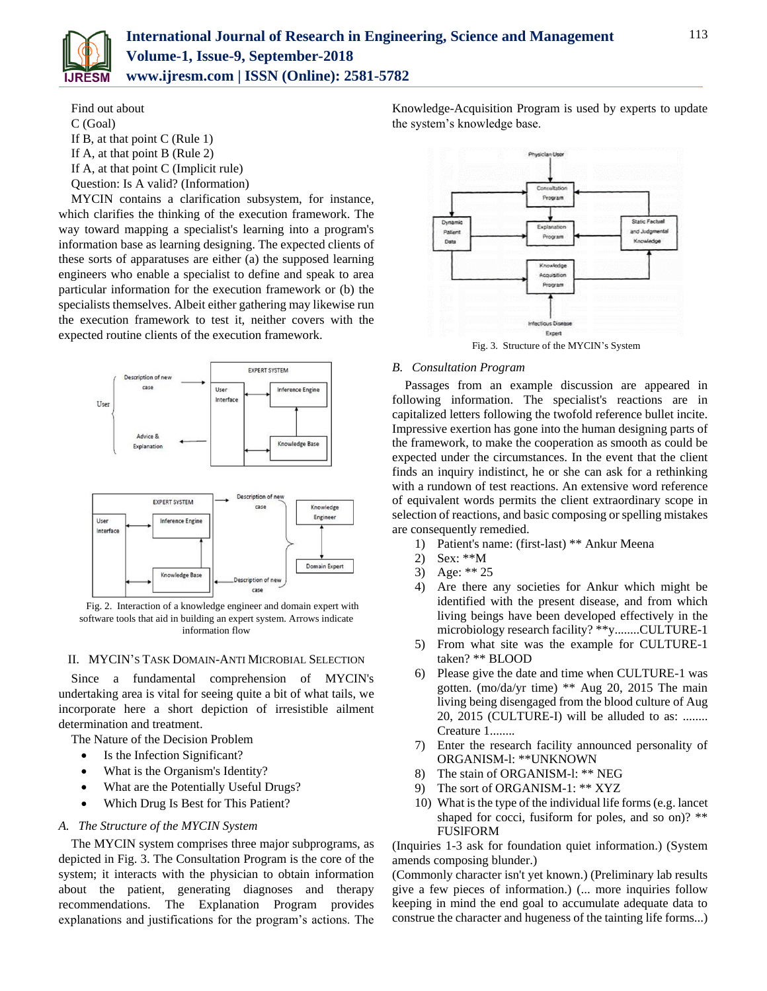

Find out about C (Goal) If B, at that point C (Rule 1) If A, at that point B (Rule 2) If A, at that point C (Implicit rule) Question: Is A valid? (Information)

MYCIN contains a clarification subsystem, for instance, which clarifies the thinking of the execution framework. The way toward mapping a specialist's learning into a program's information base as learning designing. The expected clients of these sorts of apparatuses are either (a) the supposed learning engineers who enable a specialist to define and speak to area particular information for the execution framework or (b) the specialists themselves. Albeit either gathering may likewise run the execution framework to test it, neither covers with the expected routine clients of the execution framework.





Fig. 2. Interaction of a knowledge engineer and domain expert with software tools that aid in building an expert system. Arrows indicate information flow

## II. MYCIN'S TASK DOMAIN-ANTI MICROBIAL SELECTION

Since a fundamental comprehension of MYCIN's undertaking area is vital for seeing quite a bit of what tails, we incorporate here a short depiction of irresistible ailment determination and treatment.

The Nature of the Decision Problem

- Is the Infection Significant?
- What is the Organism's Identity?
- What are the Potentially Useful Drugs?
- Which Drug Is Best for This Patient?

## *A. The Structure of the MYCIN System*

The MYCIN system comprises three major subprograms, as depicted in Fig. 3. The Consultation Program is the core of the system; it interacts with the physician to obtain information about the patient, generating diagnoses and therapy recommendations. The Explanation Program provides explanations and justifications for the program's actions. The

Knowledge-Acquisition Program is used by experts to update the system's knowledge base.



Fig. 3. Structure of the MYCIN's System

## *B. Consultation Program*

Passages from an example discussion are appeared in following information. The specialist's reactions are in capitalized letters following the twofold reference bullet incite. Impressive exertion has gone into the human designing parts of the framework, to make the cooperation as smooth as could be expected under the circumstances. In the event that the client finds an inquiry indistinct, he or she can ask for a rethinking with a rundown of test reactions. An extensive word reference of equivalent words permits the client extraordinary scope in selection of reactions, and basic composing or spelling mistakes are consequently remedied.

- 1) Patient's name: (first-last) \*\* Ankur Meena
- 2) Sex: \*\*M
- 3) Age: \*\* 25
- 4) Are there any societies for Ankur which might be identified with the present disease, and from which living beings have been developed effectively in the microbiology research facility? \*\*y........CULTURE-1
- 5) From what site was the example for CULTURE-1 taken? \*\* BLOOD
- 6) Please give the date and time when CULTURE-1 was gotten. (mo/da/yr time) \*\* Aug 20, 2015 The main living being disengaged from the blood culture of Aug 20, 2015 (CULTURE-I) will be alluded to as: ........ Creature 1........
- 7) Enter the research facility announced personality of ORGANISM-l: \*\*UNKNOWN
- 8) The stain of ORGANISM-l: \*\* NEG
- 9) The sort of ORGANISM-1: \*\* XYZ
- 10) What is the type of the individual life forms (e.g. lancet shaped for cocci, fusiform for poles, and so on)? \*\* FUSlFORM

(Inquiries 1-3 ask for foundation quiet information.) (System amends composing blunder.)

(Commonly character isn't yet known.) (Preliminary lab results give a few pieces of information.) (... more inquiries follow keeping in mind the end goal to accumulate adequate data to construe the character and hugeness of the tainting life forms...)